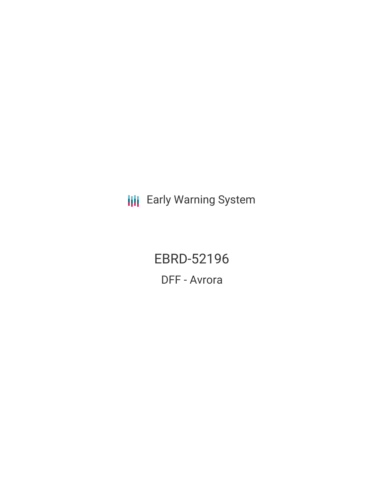**III** Early Warning System

EBRD-52196 DFF - Avrora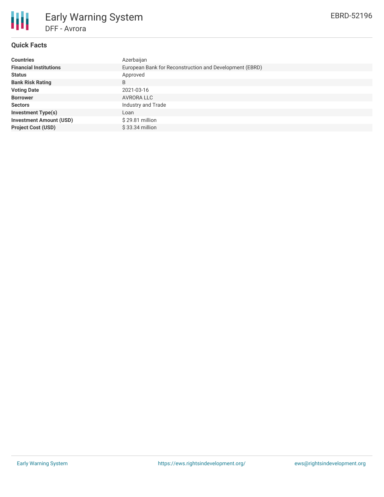

## **Quick Facts**

| <b>Countries</b>               | Azerbaijan                                              |
|--------------------------------|---------------------------------------------------------|
| <b>Financial Institutions</b>  | European Bank for Reconstruction and Development (EBRD) |
| <b>Status</b>                  | Approved                                                |
| <b>Bank Risk Rating</b>        | B                                                       |
| <b>Voting Date</b>             | 2021-03-16                                              |
| <b>Borrower</b>                | AVRORA LLC                                              |
| <b>Sectors</b>                 | Industry and Trade                                      |
| <b>Investment Type(s)</b>      | Loan                                                    |
| <b>Investment Amount (USD)</b> | $$29.81$ million                                        |
| <b>Project Cost (USD)</b>      | $$33.34$ million                                        |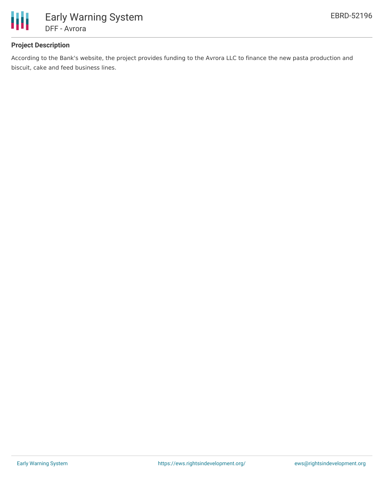

# **Project Description**

According to the Bank's website, the project provides funding to the Avrora LLC to finance the new pasta production and biscuit, cake and feed business lines.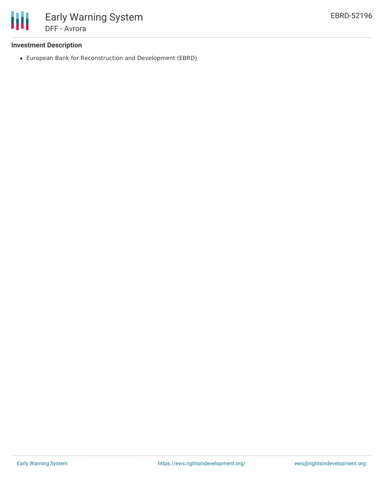

#### **Investment Description**

European Bank for Reconstruction and Development (EBRD)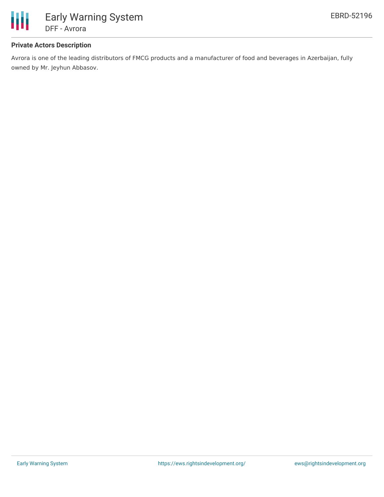

### **Private Actors Description**

Avrora is one of the leading distributors of FMCG products and a manufacturer of food and beverages in Azerbaijan, fully owned by Mr. Jeyhun Abbasov.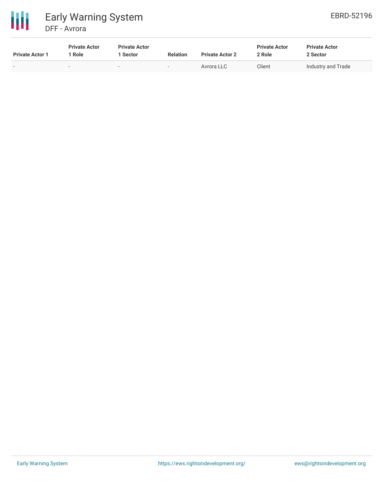

| <b>Private Actor 1</b> | <b>Private Actor</b><br>Role | <b>Private Actor</b><br>Sector | <b>Relation</b>          | <b>Private Actor 2</b> | <b>Private Actor</b><br>2 Role | <b>Private Actor</b><br>2 Sector |
|------------------------|------------------------------|--------------------------------|--------------------------|------------------------|--------------------------------|----------------------------------|
| . .                    |                              | $\overline{\phantom{a}}$       | $\overline{\phantom{a}}$ | Avrora LLC             | Client                         | Industry and Trade               |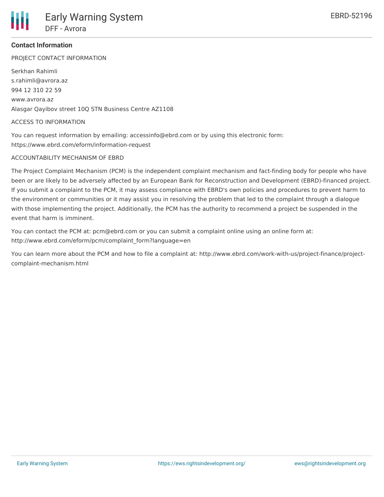

## **Contact Information**

PROJECT CONTACT INFORMATION

Serkhan Rahimli s.rahimli@avrora.az 994 12 310 22 59 www.avrora.az Alasgar Qayibov street 10Q STN Business Centre AZ1108

#### ACCESS TO INFORMATION

You can request information by emailing: accessinfo@ebrd.com or by using this electronic form: https://www.ebrd.com/eform/information-request

#### ACCOUNTABILITY MECHANISM OF EBRD

The Project Complaint Mechanism (PCM) is the independent complaint mechanism and fact-finding body for people who have been or are likely to be adversely affected by an European Bank for Reconstruction and Development (EBRD)-financed project. If you submit a complaint to the PCM, it may assess compliance with EBRD's own policies and procedures to prevent harm to the environment or communities or it may assist you in resolving the problem that led to the complaint through a dialogue with those implementing the project. Additionally, the PCM has the authority to recommend a project be suspended in the event that harm is imminent.

You can contact the PCM at: pcm@ebrd.com or you can submit a complaint online using an online form at: http://www.ebrd.com/eform/pcm/complaint\_form?language=en

You can learn more about the PCM and how to file a complaint at: http://www.ebrd.com/work-with-us/project-finance/projectcomplaint-mechanism.html